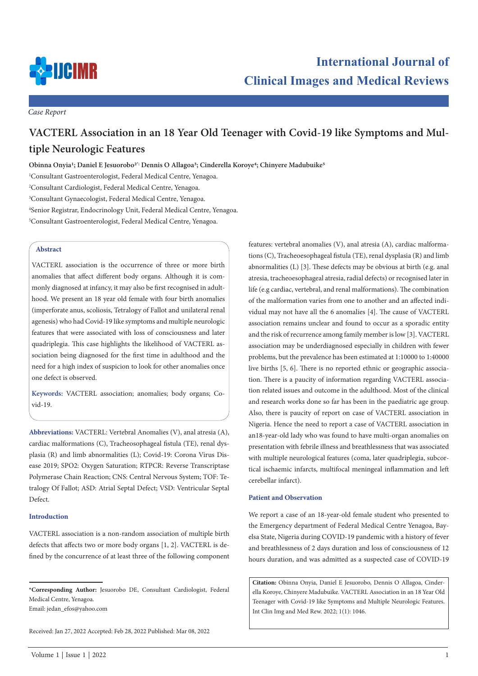

*Case Report*

# **VACTERL Association in an 18 Year Old Teenager with Covid-19 like Symptoms and Multiple Neurologic Features**

**Obinna Onyia1; Daniel E Jesuorobo2\*; Dennis O Allagoa3; Cinderella Koroye4; Chinyere Madubuike5**

 Consultant Gastroenterologist, Federal Medical Centre, Yenagoa. Consultant Cardiologist, Federal Medical Centre, Yenagoa. Consultant Gynaecologist, Federal Medical Centre, Yenagoa. Senior Registrar, Endocrinology Unit, Federal Medical Centre, Yenagoa. Consultant Gastroenterologist, Federal Medical Centre, Yenagoa.

# **Abstract**

VACTERL association is the occurrence of three or more birth anomalies that affect different body organs. Although it is commonly diagnosed at infancy, it may also be first recognised in adulthood. We present an 18 year old female with four birth anomalies (imperforate anus, scoliosis, Tetralogy of Fallot and unilateral renal agenesis) who had Covid-19 like symptoms and multiple neurologic features that were associated with loss of consciousness and later quadriplegia. This case highlights the likelihood of VACTERL association being diagnosed for the first time in adulthood and the need for a high index of suspicion to look for other anomalies once one defect is observed.

**Keywords:** VACTERL association; anomalies; body organs; Covid-19.

**Abbreviations:** VACTERL: Vertebral Anomalies (V), anal atresia (A), cardiac malformations (C), Tracheosophageal fistula (TE), renal dysplasia (R) and limb abnormalities (L); Covid-19: Corona Virus Disease 2019; SPO2: Oxygen Saturation; RTPCR: Reverse Transcriptase Polymerase Chain Reaction; CNS: Central Nervous System; TOF: Tetralogy Of Fallot; ASD: Atrial Septal Defect; VSD: Ventricular Septal Defect.

# **Introduction**

VACTERL association is a non-random association of multiple birth defects that affects two or more body organs [1, 2]. VACTERL is defined by the concurrence of at least three of the following component

Received: Jan 27, 2022 Accepted: Feb 28, 2022 Published: Mar 08, 2022

features: vertebral anomalies (V), anal atresia (A), cardiac malformations (C), Tracheoesophageal fistula (TE), renal dysplasia (R) and limb abnormalities (L) [3]. These defects may be obvious at birth (e.g. anal atresia, tracheoesophageal atresia, radial defects) or recognised later in life (e.g cardiac, vertebral, and renal malformations). The combination of the malformation varies from one to another and an affected individual may not have all the 6 anomalies [4]. The cause of VACTERL association remains unclear and found to occur as a sporadic entity and the risk of recurrence among family member is low [3]. VACTERL association may be underdiagnosed especially in children with fewer problems, but the prevalence has been estimated at 1:10000 to 1:40000 live births [5, 6]. There is no reported ethnic or geographic association. There is a paucity of information regarding VACTERL association related issues and outcome in the adulthood. Most of the clinical and research works done so far has been in the paediatric age group. Also, there is paucity of report on case of VACTERL association in Nigeria. Hence the need to report a case of VACTERL association in an18-year-old lady who was found to have multi-organ anomalies on presentation with febrile illness and breathlessness that was associated with multiple neurological features (coma, later quadriplegia, subcortical ischaemic infarcts, multifocal meningeal inflammation and left cerebellar infarct).

## **Patient and Observation**

We report a case of an 18-year-old female student who presented to the Emergency department of Federal Medical Centre Yenagoa, Bayelsa State, Nigeria during COVID-19 pandemic with a history of fever and breathlessness of 2 days duration and loss of consciousness of 12 hours duration, and was admitted as a suspected case of COVID-19

**Citation:** Obinna Onyia, Daniel E Jesuorobo, Dennis O Allagoa, Cinderella Koroye, Chinyere Madubuike. VACTERL Association in an 18 Year Old Teenager with Covid-19 like Symptoms and Multiple Neurologic Features. Int Clin Img and Med Rew. 2022; 1(1): 1046.

**<sup>\*</sup>Corresponding Author:** Jesuorobo DE, Consultant Cardiologist, Federal Medical Centre, Yenagoa.

Email: jedan\_efos@yahoo.com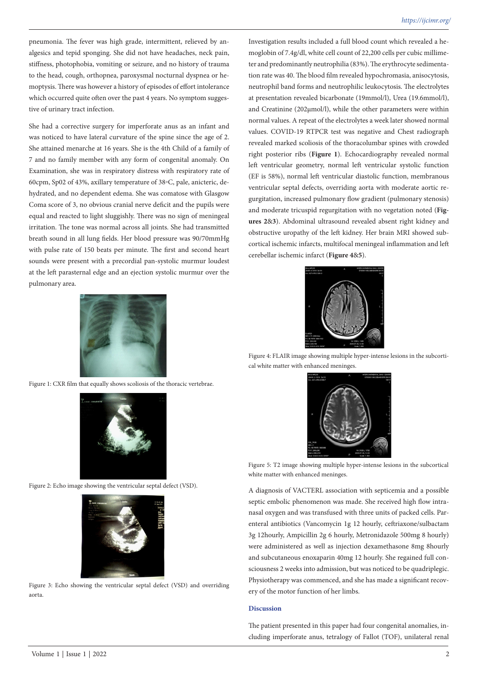pneumonia. The fever was high grade, intermittent, relieved by analgesics and tepid sponging. She did not have headaches, neck pain, stiffness, photophobia, vomiting or seizure, and no history of trauma to the head, cough, orthopnea, paroxysmal nocturnal dyspnea or hemoptysis. There was however a history of episodes of effort intolerance which occurred quite often over the past 4 years. No symptom suggestive of urinary tract infection.

She had a corrective surgery for imperforate anus as an infant and was noticed to have lateral curvature of the spine since the age of 2. She attained menarche at 16 years. She is the 4th Child of a family of 7 and no family member with any form of congenital anomaly. On Examination, she was in respiratory distress with respiratory rate of 60cpm, Sp02 of 43%, axillary temperature of 38◦C, pale, anicteric, dehydrated, and no dependent edema. She was comatose with Glasgow Coma score of 3, no obvious cranial nerve deficit and the pupils were equal and reacted to light sluggishly. There was no sign of meningeal irritation. The tone was normal across all joints. She had transmitted breath sound in all lung fields. Her blood pressure was 90/70mmHg with pulse rate of 150 beats per minute. The first and second heart sounds were present with a precordial pan-systolic murmur loudest at the left parasternal edge and an ejection systolic murmur over the pulmonary area.



Figure 1: CXR film that equally shows scoliosis of the thoracic vertebrae.



Figure 2: Echo image showing the ventricular septal defect (VSD).



Figure 3: Echo showing the ventricular septal defect (VSD) and overriding aorta.

Investigation results included a full blood count which revealed a hemoglobin of 7.4g/dl, white cell count of 22,200 cells per cubic millimeter and predominantly neutrophilia (83%). The erythrocyte sedimentation rate was 40. The blood film revealed hypochromasia, anisocytosis, neutrophil band forms and neutrophilic leukocytosis. The electrolytes at presentation revealed bicarbonate (19mmol/l), Urea (19.6mmol/l), and Creatinine (202µmol/l), while the other parameters were within normal values. A repeat of the electrolytes a week later showed normal values. COVID-19 RTPCR test was negative and Chest radiograph revealed marked scoliosis of the thoracolumbar spines with crowded right posterior ribs (**Figure 1**). Echocardiography revealed normal left ventricular geometry, normal left ventricular systolic function (EF is 58%), normal left ventricular diastolic function, membranous ventricular septal defects, overriding aorta with moderate aortic regurgitation, increased pulmonary flow gradient (pulmonary stenosis) and moderate tricuspid regurgitation with no vegetation noted (**Figures 2**&**3**). Abdominal ultrasound revealed absent right kidney and obstructive uropathy of the left kidney. Her brain MRI showed subcortical ischemic infarcts, multifocal meningeal inflammation and left cerebellar ischemic infarct (**Figure 4**&**5**).



Figure 4: FLAIR image showing multiple hyper-intense lesions in the subcortical white matter with enhanced meninges.



Figure 5: T2 image showing multiple hyper-intense lesions in the subcortical white matter with enhanced meninges.

A diagnosis of VACTERL association with septicemia and a possible septic embolic phenomenon was made. She received high flow intranasal oxygen and was transfused with three units of packed cells. Parenteral antibiotics (Vancomycin 1g 12 hourly, ceftriaxone/sulbactam 3g 12hourly, Ampicillin 2g 6 hourly, Metronidazole 500mg 8 hourly) were administered as well as injection dexamethasone 8mg 8hourly and subcutaneous enoxaparin 40mg 12 hourly. She regained full consciousness 2 weeks into admission, but was noticed to be quadriplegic. Physiotherapy was commenced, and she has made a significant recovery of the motor function of her limbs.

#### **Discussion**

The patient presented in this paper had four congenital anomalies, including imperforate anus, tetralogy of Fallot (TOF), unilateral renal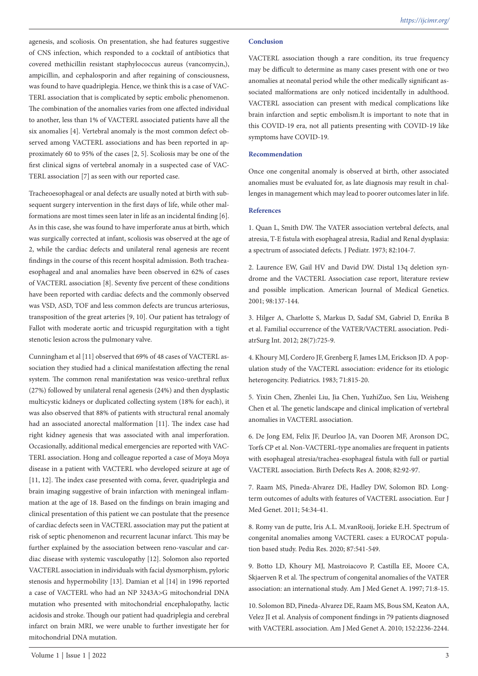agenesis, and scoliosis. On presentation, she had features suggestive of CNS infection, which responded to a cocktail of antibiotics that covered methicillin resistant staphylococcus aureus (vancomycin,), ampicillin, and cephalosporin and after regaining of consciousness, was found to have quadriplegia. Hence, we think this is a case of VAC-TERL association that is complicated by septic embolic phenomenon. The combination of the anomalies varies from one affected individual to another, less than 1% of VACTERL associated patients have all the six anomalies [4]. Vertebral anomaly is the most common defect observed among VACTERL associations and has been reported in approximately 60 to 95% of the cases [2, 5]. Scoliosis may be one of the first clinical signs of vertebral anomaly in a suspected case of VAC-TERL association [7] as seen with our reported case.

Tracheoesophageal or anal defects are usually noted at birth with subsequent surgery intervention in the first days of life, while other malformations are most times seen later in life as an incidental finding [6]. As in this case, she was found to have imperforate anus at birth, which was surgically corrected at infant, scoliosis was observed at the age of 2, while the cardiac defects and unilateral renal agenesis are recent findings in the course of this recent hospital admission. Both tracheaesophageal and anal anomalies have been observed in 62% of cases of VACTERL association [8]. Seventy five percent of these conditions have been reported with cardiac defects and the commonly observed was VSD, ASD, TOF and less common defects are truncus arteriosus, transposition of the great arteries [9, 10]. Our patient has tetralogy of Fallot with moderate aortic and tricuspid regurgitation with a tight stenotic lesion across the pulmonary valve.

Cunningham et al [11] observed that 69% of 48 cases of VACTERL association they studied had a clinical manifestation affecting the renal system. The common renal manifestation was vesico-urethral reflux (27%) followed by unilateral renal agenesis (24%) and then dysplastic multicystic kidneys or duplicated collecting system (18% for each), it was also observed that 88% of patients with structural renal anomaly had an associated anorectal malformation [11]. The index case had right kidney agenesis that was associated with anal imperforation. Occasionally, additional medical emergencies are reported with VAC-TERL association. Hong and colleague reported a case of Moya Moya disease in a patient with VACTERL who developed seizure at age of [11, 12]. The index case presented with coma, fever, quadriplegia and brain imaging suggestive of brain infarction with meningeal inflammation at the age of 18. Based on the findings on brain imaging and clinical presentation of this patient we can postulate that the presence of cardiac defects seen in VACTERL association may put the patient at risk of septic phenomenon and recurrent lacunar infarct. This may be further explained by the association between reno-vascular and cardiac disease with systemic vasculopathy [12]. Solomon also reported VACTERL association in individuals with facial dysmorphism, pyloric stenosis and hypermobility [13]. Damian et al [14] in 1996 reported a case of VACTERL who had an NP 3243A>G mitochondrial DNA mutation who presented with mitochondrial encephalopathy, lactic acidosis and stroke. Though our patient had quadriplegia and cerebral infarct on brain MRI, we were unable to further investigate her for mitochondrial DNA mutation.

## **Conclusion**

VACTERL association though a rare condition, its true frequency may be difficult to determine as many cases present with one or two anomalies at neonatal period while the other medically significant associated malformations are only noticed incidentally in adulthood. VACTERL association can present with medical complications like brain infarction and septic embolism.It is important to note that in this COVID-19 era, not all patients presenting with COVID-19 like symptoms have COVID-19.

## **Recommendation**

Once one congenital anomaly is observed at birth, other associated anomalies must be evaluated for, as late diagnosis may result in challenges in management which may lead to poorer outcomes later in life.

#### **References**

1. Quan L, Smith DW. The VATER association vertebral defects, anal atresia, T-E fistula with esophageal atresia, Radial and Renal dysplasia: a spectrum of associated defects. J Pediatr. 1973; 82:104-7.

2. Laurence EW, Gail HV and David DW. Distal 13q deletion syndrome and the VACTERL Association case report, literature review and possible implication. American Journal of Medical Genetics. 2001; 98:137-144.

3. Hilger A, Charlotte S, Markus D, Sadaf SM, Gabriel D, Enrika B et al. Familial occurrence of the VATER/VACTERL association. PediatrSurg Int. 2012; 28(7):725-9.

4. Khoury MJ, Cordero JF, Grenberg F, James LM, Erickson JD. A population study of the VACTERL association: evidence for its etiologic heterogencity. Pediatrics. 1983; 71:815-20.

5. Yixin Chen, Zhenlei Liu, Jia Chen, YuzhiZuo, Sen Liu, Weisheng Chen et al. The genetic landscape and clinical implication of vertebral anomalies in VACTERL association.

6. De Jong EM, Felix JF, Deurloo JA, van Dooren MF, Aronson DC, Torfs CP et al. Non-VACTERL-type anomalies are frequent in patients with esophageal atresia/trachea-esophageal fistula with full or partial VACTERL association. Birth Defects Res A. 2008; 82:92-97.

7. Raam MS, Pineda-Alvarez DE, Hadley DW, Solomon BD. Longterm outcomes of adults with features of VACTERL association. Eur J Med Genet. 2011; 54:34-41.

8. Romy van de putte, Iris A.L. M.vanRooij, Jorieke E.H. Spectrum of congenital anomalies among VACTERL cases: a EUROCAT population based study. Pedia Res. 2020; 87:541-549.

9. Botto LD, Khoury MJ, Mastroiacovo P, Castilla EE, Moore CA, Skjaerven R et al. The spectrum of congenital anomalies of the VATER association: an international study. Am J Med Genet A. 1997; 71:8-15.

10. Solomon BD, Pineda-Alvarez DE, Raam MS, Bous SM, Keaton AA, Velez JI et al. Analysis of component findings in 79 patients diagnosed with VACTERL association. Am J Med Genet A. 2010; 152:2236-2244.